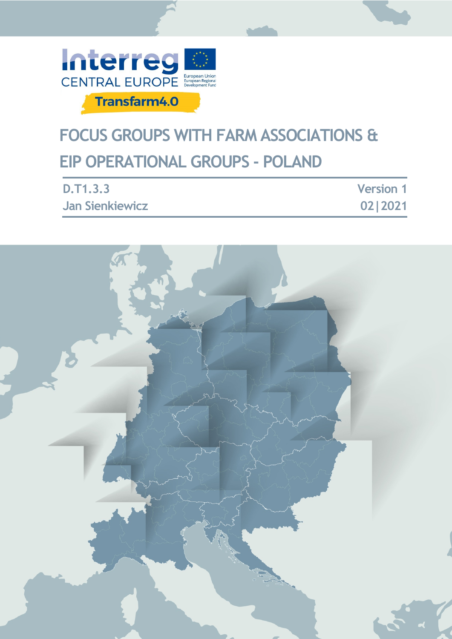

# **FOCUS GROUPS WITH FARM ASSOCIATIONS & EIP OPERATIONAL GROUPS - POLAND**

| D.T1.3.3               | <b>Version 1</b> |
|------------------------|------------------|
| <b>Jan Sienkiewicz</b> | 02   2021        |

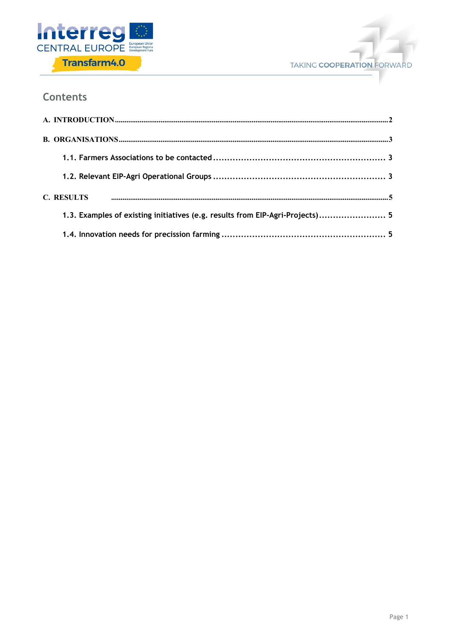



#### **Contents**

| C. RESULTS                                                                    |  |
|-------------------------------------------------------------------------------|--|
| 1.3. Examples of existing initiatives (e.g. results from EIP-Agri-Projects) 5 |  |
|                                                                               |  |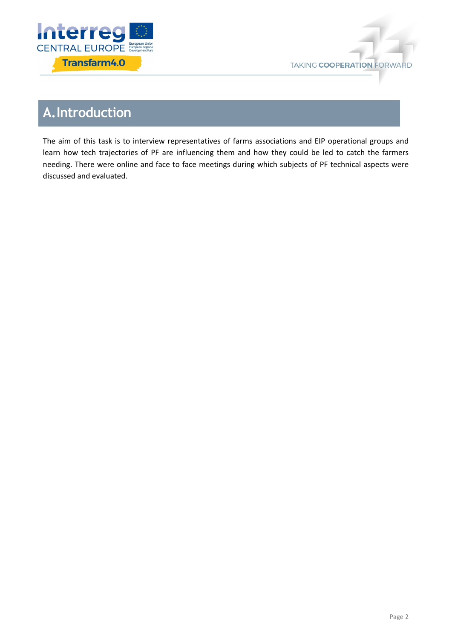



# **A.Introduction**

The aim of this task is to interview representatives of farms associations and EIP operational groups and learn how tech trajectories of PF are influencing them and how they could be led to catch the farmers needing. There were online and face to face meetings during which subjects of PF technical aspects were discussed and evaluated.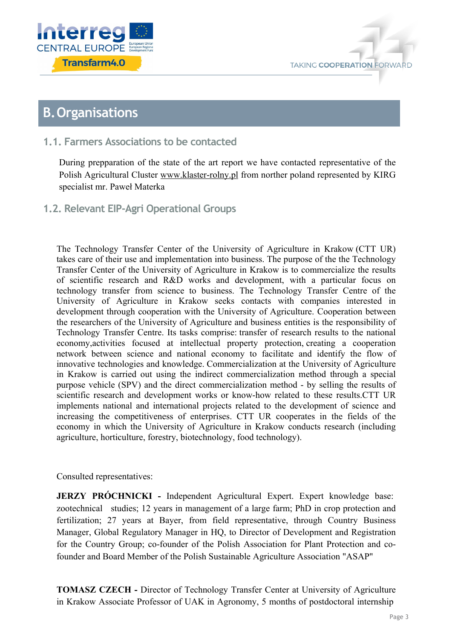



## **B.Organisations**

#### **1.1. Farmers Associations to be contacted**

During prepparation of the state of the art report we have contacted representative of the Polish Agricultural Cluster www.klaster-rolny.pl from norther poland represented by KIRG specialist mr. Paweł Materka

#### **1.2. Relevant EIP-Agri Operational Groups**

The Technology Transfer Center of the University of Agriculture in Krakow (CTT UR) takes care of their use and implementation into business. The purpose of the the Technology Transfer Center of the University of Agriculture in Krakow is to commercialize the results of scientific research and R&D works and development, with a particular focus on technology transfer from science to business. The Technology Transfer Centre of the University of Agriculture in Krakow seeks contacts with companies interested in development through cooperation with the University of Agriculture. Cooperation between the researchers of the University of Agriculture and business entities is the responsibility of Technology Transfer Centre. Its tasks comprise: transfer of research results to the national economy,activities focused at intellectual property protection, creating a cooperation network between science and national economy to facilitate and identify the flow of innovative technologies and knowledge. Commercialization at the University of Agriculture in Krakow is carried out using the indirect commercialization method through a special purpose vehicle (SPV) and the direct commercialization method - by selling the results of scientific research and development works or know-how related to these results.CTT UR implements national and international projects related to the development of science and increasing the competitiveness of enterprises. CTT UR cooperates in the fields of the economy in which the University of Agriculture in Krakow conducts research (including agriculture, horticulture, forestry, biotechnology, food technology).

Consulted representatives:

**JERZY PRÓCHNICKI -** Independent Agricultural Expert. Expert knowledge base: zootechnical studies; 12 years in management of a large farm; PhD in crop protection and fertilization; 27 years at Bayer, from field representative, through Country Business Manager, Global Regulatory Manager in HQ, to Director of Development and Registration for the Country Group; co-founder of the Polish Association for Plant Protection and cofounder and Board Member of the Polish Sustainable Agriculture Association "ASAP"

**TOMASZ CZECH -** Director of Technology Transfer Center at University of Agriculture in Krakow Associate Professor of UAK in Agronomy, 5 months of postdoctoral internship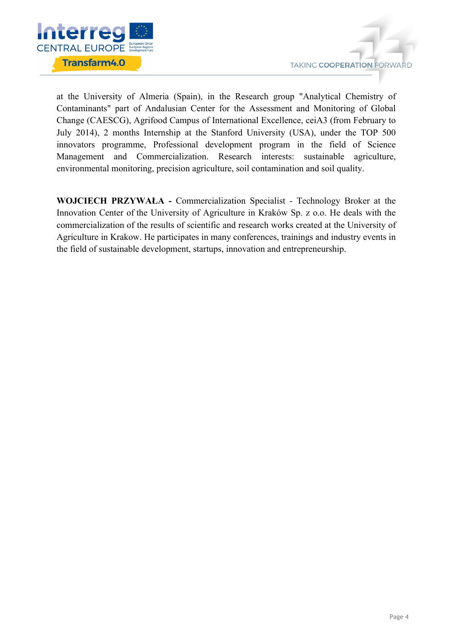

at the University of Almeria (Spain), in the Research group "Analytical Chemistry of Contaminants" part of Andalusian Center for the Assessment and Monitoring of Global Change (CAESCG), Agrifood Campus of International Excellence, ceiA3 (from February to July 2014), 2 months Internship at the Stanford University (USA), under the TOP 500 innovators programme, Professional development program in the field of Science Management and Commercialization. Research interests: sustainable agriculture, environmental monitoring, precision agriculture, soil contamination and soil quality.

**WOJCIECH PRZYWAŁA -** Commercialization Specialist - Technology Broker at the Innovation Center of the University of Agriculture in Kraków Sp. z o.o. He deals with the commercialization of the results of scientific and research works created at the University of Agriculture in Krakow. He participates in many conferences, trainings and industry events in the field of sustainable development, startups, innovation and entrepreneurship.